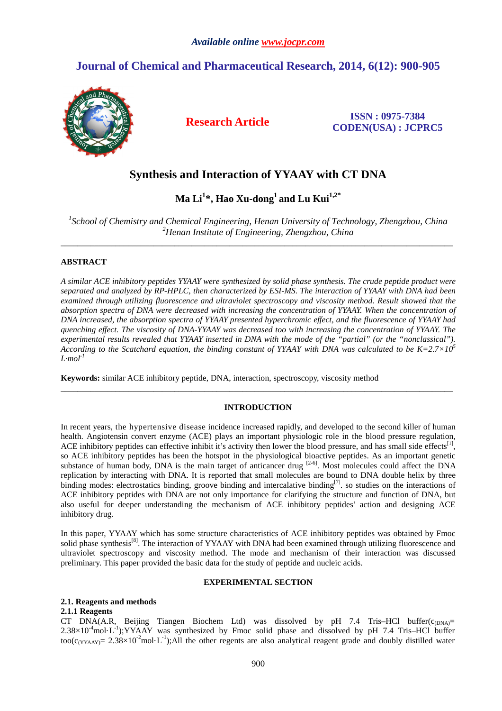# **Journal of Chemical and Pharmaceutical Research, 2014, 6(12): 900-905**



**Research Article ISSN : 0975-7384 CODEN(USA) : JCPRC5**

# **Synthesis and Interaction of YYAAY with CT DNA**

**Ma Li<sup>1</sup> \*, Hao Xu-dong<sup>1</sup>and Lu Kui1,2\*** 

<sup>1</sup> School of Chemistry and Chemical Engineering, Henan University of Technology, Zhengzhou, China *<sup>2</sup>Henan Institute of Engineering, Zhengzhou, China*  \_\_\_\_\_\_\_\_\_\_\_\_\_\_\_\_\_\_\_\_\_\_\_\_\_\_\_\_\_\_\_\_\_\_\_\_\_\_\_\_\_\_\_\_\_\_\_\_\_\_\_\_\_\_\_\_\_\_\_\_\_\_\_\_\_\_\_\_\_\_\_\_\_\_\_\_\_\_\_\_\_\_\_\_\_\_\_\_\_\_\_\_\_

### **ABSTRACT**

*A similar ACE inhibitory peptides YYAAY were synthesized by solid phase synthesis. The crude peptide product were separated and analyzed by RP-HPLC, then characterized by ESI-MS. The interaction of YYAAY with DNA had been examined through utilizing fluorescence and ultraviolet spectroscopy and viscosity method. Result showed that the absorption spectra of DNA were decreased with increasing the concentration of YYAAY. When the concentration of DNA increased, the absorption spectra of YYAAY presented hyperchromic effect, and the fluorescence of YYAAY had quenching effect. The viscosity of DNA-YYAAY was decreased too with increasing the concentration of YYAAY. The experimental results revealed that YYAAY inserted in DNA with the mode of the "partial" (or the "nonclassical"). According to the Scatchard equation, the binding constant of YYAAY with DNA was calculated to be K=2.7×10<sup>5</sup>*  $L$ *mol*<sup> $-1$ </sup>

**Keywords:** similar ACE inhibitory peptide, DNA, interaction, spectroscopy, viscosity method

#### **INTRODUCTION**

\_\_\_\_\_\_\_\_\_\_\_\_\_\_\_\_\_\_\_\_\_\_\_\_\_\_\_\_\_\_\_\_\_\_\_\_\_\_\_\_\_\_\_\_\_\_\_\_\_\_\_\_\_\_\_\_\_\_\_\_\_\_\_\_\_\_\_\_\_\_\_\_\_\_\_\_\_\_\_\_\_\_\_\_\_\_\_\_\_\_\_\_\_

In recent years, the hypertensive disease incidence increased rapidly, and developed to the second killer of human health. Angiotensin convert enzyme (ACE) plays an important physiologic role in the blood pressure regulation, ACE inhibitory peptides can effective inhibit it's activity then lower the blood pressure, and has small side effects $^{[1]}$ , so ACE inhibitory peptides has been the hotspot in the physiological bioactive peptides. As an important genetic substance of human body, DNA is the main target of anticancer drug <sup>[2-6]</sup>. Most molecules could affect the DNA replication by interacting with DNA. It is reported that small molecules are bound to DNA double helix by three binding modes: electrostatics binding, groove binding and intercalative binding<sup>[7]</sup>. so studies on the interactions of ACE inhibitory peptides with DNA are not only importance for clarifying the structure and function of DNA, but also useful for deeper understanding the mechanism of ACE inhibitory peptides' action and designing ACE inhibitory drug.

In this paper, YYAAY which has some structure characteristics of ACE inhibitory peptides was obtained by Fmoc solid phase synthesis<sup>[8]</sup>. The interaction of YYAAY with DNA had been examined through utilizing fluorescence and ultraviolet spectroscopy and viscosity method. The mode and mechanism of their interaction was discussed preliminary. This paper provided the basic data for the study of peptide and nucleic acids.

## **EXPERIMENTAL SECTION**

#### **2.1. Reagents and methods**

### **2.1.1 Reagents**

CT DNA(A.R, Beijing Tiangen Biochem Ltd) was dissolved by pH 7.4 Tris–HCl buffer( $c_{(DNA)}$ =  $2.38\times10^{-4}$ mol·L<sup>-1</sup>);YYAAY was synthesized by Fmoc solid phase and dissolved by pH 7.4 Tris–HCl buffer too( $c_{(YYAAY)}$ = 2.38×10<sup>-2</sup>mol·L<sup>-1</sup>);All the other regents are also analytical reagent grade and doubly distilled water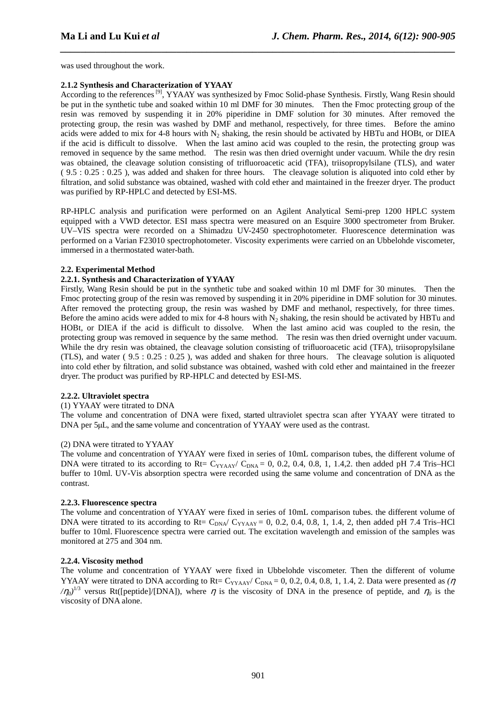was used throughout the work.

# **2.1.2 Synthesis and Characterization of YYAAY**

According to the references<sup>[9]</sup>, YYAAY was synthesized by Fmoc Solid-phase Synthesis. Firstly, Wang Resin should be put in the synthetic tube and soaked within 10 ml DMF for 30 minutes. Then the Fmoc protecting group of the resin was removed by suspending it in 20% piperidine in DMF solution for 30 minutes. After removed the protecting group, the resin was washed by DMF and methanol, respectively, for three times. Before the amino acids were added to mix for 4-8 hours with  $N_2$  shaking, the resin should be activated by HBTu and HOBt, or DIEA if the acid is difficult to dissolve. When the last amino acid was coupled to the resin, the protecting group was removed in sequence by the same method. The resin was then dried overnight under vacuum. While the dry resin was obtained, the cleavage solution consisting of trifluoroacetic acid (TFA), triisopropylsilane (TLS), and water ( 9.5 : 0.25 : 0.25 ), was added and shaken for three hours. The cleavage solution is aliquoted into cold ether by filtration, and solid substance was obtained, washed with cold ether and maintained in the freezer dryer. The product was purified by RP-HPLC and detected by ESI-MS.

*\_\_\_\_\_\_\_\_\_\_\_\_\_\_\_\_\_\_\_\_\_\_\_\_\_\_\_\_\_\_\_\_\_\_\_\_\_\_\_\_\_\_\_\_\_\_\_\_\_\_\_\_\_\_\_\_\_\_\_\_\_\_\_\_\_\_\_\_\_\_\_\_\_\_\_\_\_\_*

RP-HPLC analysis and purification were performed on an Agilent Analytical Semi-prep 1200 HPLC system equipped with a VWD detector. ESI mass spectra were measured on an Esquire 3000 spectrometer from Bruker. UV–VIS spectra were recorded on a Shimadzu UV-2450 spectrophotometer. Fluorescence determination was performed on a Varian F23010 spectrophotometer. Viscosity experiments were carried on an Ubbelohde viscometer, immersed in a thermostated water-bath.

# **2.2. Experimental Method**

# **2.2.1. Synthesis and Characterization of YYAAY**

Firstly, Wang Resin should be put in the synthetic tube and soaked within 10 ml DMF for 30 minutes. Then the Fmoc protecting group of the resin was removed by suspending it in 20% piperidine in DMF solution for 30 minutes. After removed the protecting group, the resin was washed by DMF and methanol, respectively, for three times. Before the amino acids were added to mix for 4-8 hours with  $N_2$  shaking, the resin should be activated by HBTu and HOBt, or DIEA if the acid is difficult to dissolve. When the last amino acid was coupled to the resin, the protecting group was removed in sequence by the same method. The resin was then dried overnight under vacuum. While the dry resin was obtained, the cleavage solution consisting of trifluoroacetic acid (TFA), triisopropylsilane (TLS), and water ( 9.5 : 0.25 : 0.25 ), was added and shaken for three hours. The cleavage solution is aliquoted into cold ether by filtration, and solid substance was obtained, washed with cold ether and maintained in the freezer dryer. The product was purified by RP-HPLC and detected by ESI-MS.

## **2.2.2. Ultraviolet spectra**

## (1) YYAAY were titrated to DNA

The volume and concentration of DNA were fixed, started ultraviolet spectra scan after YYAAY were titrated to DNA per 5µL, and the same volume and concentration of YYAAY were used as the contrast.

## (2) DNA were titrated to YYAAY

The volume and concentration of YYAAY were fixed in series of 10mL comparison tubes, the different volume of DNA were titrated to its according to Rt=  $C_{YYAAY}/C_{DNA} = 0, 0.2, 0.4, 0.8, 1, 1.4, 2$ . then added pH 7.4 Tris–HCl buffer to 10ml. UV-Vis absorption spectra were recorded using the same volume and concentration of DNA as the contrast.

# **2.2.3. Fluorescence spectra**

The volume and concentration of YYAAY were fixed in series of 10mL comparison tubes. the different volume of DNA were titrated to its according to Rt=  $C_{DNA}/ C_{YYAAY} = 0$ , 0.2, 0.4, 0.8, 1, 1.4, 2, then added pH 7.4 Tris–HCl buffer to 10ml. Fluorescence spectra were carried out. The excitation wavelength and emission of the samples was monitored at 275 and 304 nm.

## **2.2.4. Viscosity method**

The volume and concentration of YYAAY were fixed in Ubbelohde viscometer. Then the different of volume YYAAY were titrated to DNA according to Rt= C<sub>YYAAY</sub>/ C<sub>DNA</sub> = 0, 0.2, 0.4, 0.8, 1, 1.4, 2. Data were presented as  $(\eta$  $(\eta_0)^{1/3}$  versus Rt([peptide]/[DNA]), where  $\eta$  is the viscosity of DNA in the presence of peptide, and  $\eta_0$  is the viscosity of DNA alone.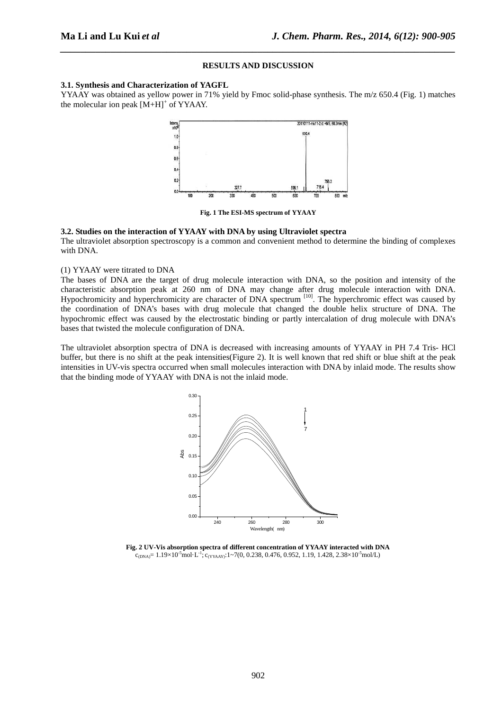### **RESULTS AND DISCUSSION**

*\_\_\_\_\_\_\_\_\_\_\_\_\_\_\_\_\_\_\_\_\_\_\_\_\_\_\_\_\_\_\_\_\_\_\_\_\_\_\_\_\_\_\_\_\_\_\_\_\_\_\_\_\_\_\_\_\_\_\_\_\_\_\_\_\_\_\_\_\_\_\_\_\_\_\_\_\_\_*

#### **3.1. Synthesis and Characterization of YAGFL**

YYAAY was obtained as yellow power in 71% yield by Fmoc solid-phase synthesis. The m/z 650.4 (Fig. 1) matches the molecular ion peak  $[M+H]$ <sup>+</sup> of YYAAY.



**Fig. 1 The ESI-MS spectrum of YYAAY** 

#### **3.2. Studies on the interaction of YYAAY with DNA by using Ultraviolet spectra**

The ultraviolet absorption spectroscopy is a common and convenient method to determine the binding of complexes with DNA.

#### (1) YYAAY were titrated to DNA

The bases of DNA are the target of drug molecule interaction with DNA, so the position and intensity of the characteristic absorption peak at 260 nm of DNA may change after drug molecule interaction with DNA. Hypochromicity and hyperchromicity are character of DNA spectrum<sup>[10]</sup>. The hyperchromic effect was caused by the coordination of DNA's bases with drug molecule that changed the double helix structure of DNA. The hypochromic effect was caused by the electrostatic binding or partly intercalation of drug molecule with DNA's bases that twisted the molecule configuration of DNA.

The ultraviolet absorption spectra of DNA is decreased with increasing amounts of YYAAY in PH 7.4 Tris- HCl buffer, but there is no shift at the peak intensities(Figure 2). It is well known that red shift or blue shift at the peak intensities in UV-vis spectra occurred when small molecules interaction with DNA by inlaid mode. The results show that the binding mode of YYAAY with DNA is not the inlaid mode.



 **Fig. 2 UV-Vis absorption spectra of different concentration of YYAAY interacted with DNA**   $\epsilon_{\text{(DNA)}} = 1.19 \times 10^{-5} \text{mol} \cdot \text{L}^{-1}$ ;  $\epsilon_{\text{(YYAAY)}}$ : 1~7(0, 0.238, 0.476, 0.952, 1.19, 1.428, 2.38×10<sup>-5</sup>mol/L)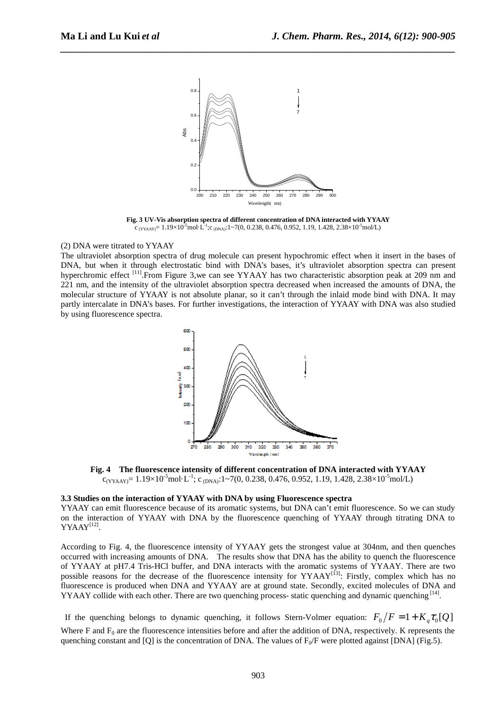

*\_\_\_\_\_\_\_\_\_\_\_\_\_\_\_\_\_\_\_\_\_\_\_\_\_\_\_\_\_\_\_\_\_\_\_\_\_\_\_\_\_\_\_\_\_\_\_\_\_\_\_\_\_\_\_\_\_\_\_\_\_\_\_\_\_\_\_\_\_\_\_\_\_\_\_\_\_\_*

 **Fig. 3 UV-Vis absorption spectra of different concentration of DNA interacted with YYAAY**   $c$  (YYAAY) = 1.19×10<sup>-5</sup>mol·L<sup>-1</sup>;c (DNA):1~7(0, 0.238, 0.476, 0.952, 1.19, 1.428, 2.38×10<sup>-5</sup>mol/L)

### (2) DNA were titrated to YYAAY

The ultraviolet absorption spectra of drug molecule can present hypochromic effect when it insert in the bases of DNA, but when it through electrostatic bind with DNA's bases, it's ultraviolet absorption spectra can present hyperchromic effect <sup>[11]</sup>.From Figure 3,we can see YYAAY has two characteristic absorption peak at 209 nm and 221 nm, and the intensity of the ultraviolet absorption spectra decreased when increased the amounts of DNA, the molecular structure of YYAAY is not absolute planar, so it can't through the inlaid mode bind with DNA. It may partly intercalate in DNA's bases. For further investigations, the interaction of YYAAY with DNA was also studied by using fluorescence spectra.



**Fig. 4 The fluorescence intensity of different concentration of DNA interacted with YYAAY**   $c_{(YYAAY)} = 1.19 \times 10^{-5}$ mol·L<sup>-1</sup>; c <sub>(DNA)</sub>:1~7(0, 0.238, 0.476, 0.952, 1.19, 1.428, 2.38×10<sup>-5</sup>mol/L)

#### **3.3 Studies on the interaction of YYAAY with DNA by using Fluorescence spectra**

YYAAY can emit fluorescence because of its aromatic systems, but DNA can't emit fluorescence. So we can study on the interaction of YYAAY with DNA by the fluorescence quenching of YYAAY through titrating DNA to  $YYAAY^{[12]}.$ 

According to Fig. 4, the fluorescence intensity of YYAAY gets the strongest value at 304nm, and then quenches occurred with increasing amounts of DNA. The results show that DNA has the ability to quench the fluorescence of YYAAY at pH7.4 Tris-HCl buffer, and DNA interacts with the aromatic systems of YYAAY. There are two possible reasons for the decrease of the fluorescence intensity for YYAAY<sup>[13]</sup>: Firstly, complex which has no fluorescence is produced when DNA and YYAAY are at ground state. Secondly, excited molecules of DNA and YYAAY collide with each other. There are two quenching process- static quenching and dynamic quenching [14].

If the quenching belongs to dynamic quenching, it follows Stern-Volmer equation:  $F_0/F = 1 + K_q \tau_0[Q]$ Where F and  $F_0$  are the fluorescence intensities before and after the addition of DNA, respectively. K represents the quenching constant and [Q] is the concentration of DNA. The values of  $F_0/F$  were plotted against [DNA] (Fig.5).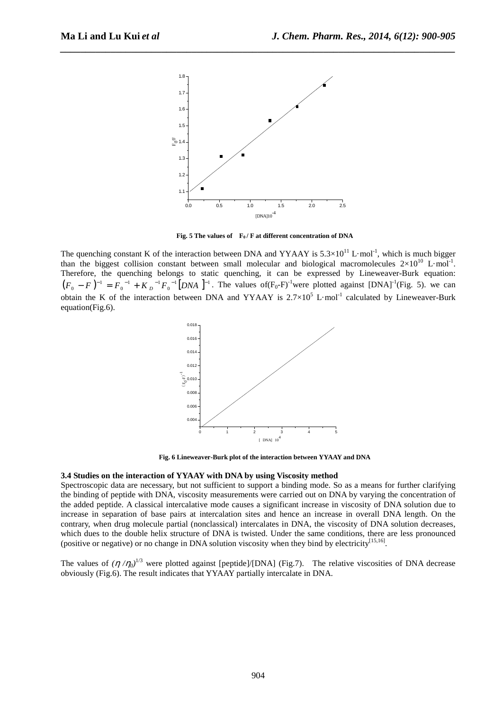

*\_\_\_\_\_\_\_\_\_\_\_\_\_\_\_\_\_\_\_\_\_\_\_\_\_\_\_\_\_\_\_\_\_\_\_\_\_\_\_\_\_\_\_\_\_\_\_\_\_\_\_\_\_\_\_\_\_\_\_\_\_\_\_\_\_\_\_\_\_\_\_\_\_\_\_\_\_\_*

**Fig. 5 The values of F0 / F at different concentration of DNA** 

The quenching constant K of the interaction between DNA and YYAAY is  $5.3 \times 10^{11}$  L·mol<sup>-1</sup>, which is much bigger than the biggest collision constant between small molecular and biological macromolecules  $2\times10^{10}$  L·mol<sup>-1</sup>. Therefore, the quenching belongs to static quenching, it can be expressed by Lineweaver-Burk equation:  $(F_0 - F)^{-1} = F_0^{-1} + K_D^{-1}F_0^{-1}$  [DNA ]<sup>-1</sup>. The values of  $(F_0 - F)^{-1}$  were plotted against [DNA]<sup>-1</sup> (Fig. 5). we can obtain the K of the interaction between DNA and YYAAY is  $2.7 \times 10^5$  L·mol<sup>-1</sup> calculated by Lineweaver-Burk equation(Fig.6).



**Fig. 6 Lineweaver-Burk plot of the interaction between YYAAY and DNA** 

#### **3.4 Studies on the interaction of YYAAY with DNA by using Viscosity method**

Spectroscopic data are necessary, but not sufficient to support a binding mode. So as a means for further clarifying the binding of peptide with DNA, viscosity measurements were carried out on DNA by varying the concentration of the added peptide. A classical intercalative mode causes a significant increase in viscosity of DNA solution due to increase in separation of base pairs at intercalation sites and hence an increase in overall DNA length. On the contrary, when drug molecule partial (nonclassical) intercalates in DNA, the viscosity of DNA solution decreases, which dues to the double helix structure of DNA is twisted. Under the same conditions, there are less pronounced (positive or negative) or no change in DNA solution viscosity when they bind by electricity<sup>[15,16]</sup>.

The values of  $(\eta/\eta_0)^{1/3}$  were plotted against [peptide]/[DNA] (Fig.7). The relative viscosities of DNA decrease obviously (Fig.6). The result indicates that YYAAY partially intercalate in DNA.